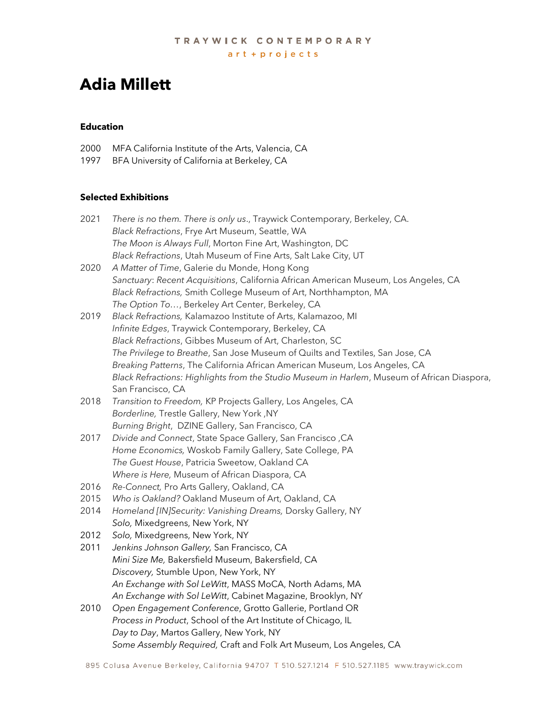# **Adia Millett**

## **Education**

- 2000 MFA California Institute of the Arts, Valencia, CA
- 1997 BFA University of California at Berkeley, CA

# **Selected Exhibitions**

| 2021 | There is no them. There is only us., Traywick Contemporary, Berkeley, CA.                   |
|------|---------------------------------------------------------------------------------------------|
|      | Black Refractions, Frye Art Museum, Seattle, WA                                             |
|      | The Moon is Always Full, Morton Fine Art, Washington, DC                                    |
|      | Black Refractions, Utah Museum of Fine Arts, Salt Lake City, UT                             |
| 2020 | A Matter of Time, Galerie du Monde, Hong Kong                                               |
|      | Sanctuary: Recent Acquisitions, California African American Museum, Los Angeles, CA         |
|      | Black Refractions, Smith College Museum of Art, Northhampton, MA                            |
|      | The Option To, Berkeley Art Center, Berkeley, CA                                            |
| 2019 | Black Refractions, Kalamazoo Institute of Arts, Kalamazoo, MI                               |
|      | Infinite Edges, Traywick Contemporary, Berkeley, CA                                         |
|      | Black Refractions, Gibbes Museum of Art, Charleston, SC                                     |
|      | The Privilege to Breathe, San Jose Museum of Quilts and Textiles, San Jose, CA              |
|      | Breaking Patterns, The California African American Museum, Los Angeles, CA                  |
|      | Black Refractions: Highlights from the Studio Museum in Harlem, Museum of African Diaspora, |
|      | San Francisco, CA                                                                           |
| 2018 | Transition to Freedom, KP Projects Gallery, Los Angeles, CA                                 |
|      | Borderline, Trestle Gallery, New York, NY                                                   |
|      | Burning Bright, DZINE Gallery, San Francisco, CA                                            |
| 2017 | Divide and Connect, State Space Gallery, San Francisco, CA                                  |
|      | Home Economics, Woskob Family Gallery, Sate College, PA                                     |
|      | The Guest House, Patricia Sweetow, Oakland CA                                               |
|      | Where is Here, Museum of African Diaspora, CA                                               |
| 2016 | Re-Connect, Pro Arts Gallery, Oakland, CA                                                   |
| 2015 | Who is Oakland? Oakland Museum of Art, Oakland, CA                                          |
| 2014 | Homeland [IN]Security: Vanishing Dreams, Dorsky Gallery, NY                                 |
|      | Solo, Mixedgreens, New York, NY                                                             |
| 2012 | Solo, Mixedgreens, New York, NY                                                             |
| 2011 | Jenkins Johnson Gallery, San Francisco, CA                                                  |
|      | Mini Size Me, Bakersfield Museum, Bakersfield, CA                                           |
|      | Discovery, Stumble Upon, New York, NY                                                       |
|      | An Exchange with Sol LeWitt, MASS MoCA, North Adams, MA                                     |
|      | An Exchange with Sol LeWitt, Cabinet Magazine, Brooklyn, NY                                 |
| 2010 | Open Engagement Conference, Grotto Gallerie, Portland OR                                    |
|      | Process in Product, School of the Art Institute of Chicago, IL                              |
|      | Day to Day, Martos Gallery, New York, NY                                                    |
|      | Some Assembly Required, Craft and Folk Art Museum, Los Angeles, CA                          |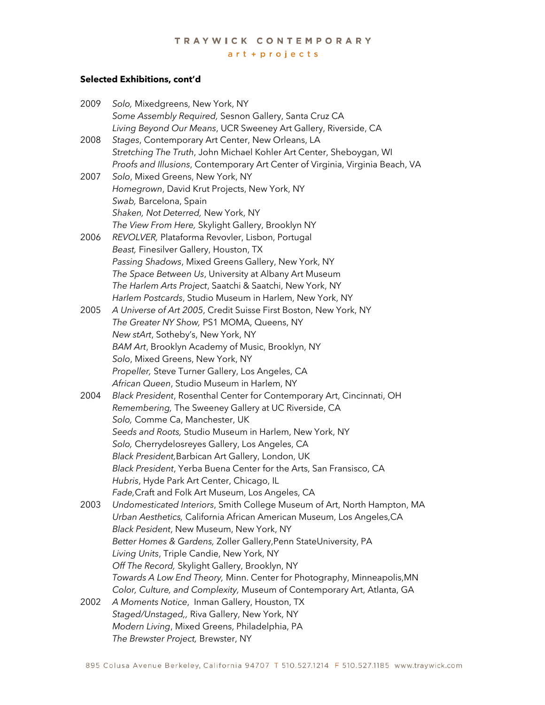# TRAYWICK CONTEMPORARY art + projects

## **Selected Exhibitions, cont'd**

| 2009 | Solo, Mixedgreens, New York, NY                                                                              |
|------|--------------------------------------------------------------------------------------------------------------|
|      | Some Assembly Required, Sesnon Gallery, Santa Cruz CA                                                        |
|      | Living Beyond Our Means, UCR Sweeney Art Gallery, Riverside, CA                                              |
| 2008 | Stages, Contemporary Art Center, New Orleans, LA                                                             |
|      | Stretching The Truth, John Michael Kohler Art Center, Sheboygan, WI                                          |
|      | Proofs and Illusions, Contemporary Art Center of Virginia, Virginia Beach, VA                                |
| 2007 | Solo, Mixed Greens, New York, NY                                                                             |
|      | Homegrown, David Krut Projects, New York, NY                                                                 |
|      | Swab, Barcelona, Spain                                                                                       |
|      | Shaken, Not Deterred, New York, NY                                                                           |
|      | The View From Here, Skylight Gallery, Brooklyn NY                                                            |
| 2006 | REVOLVER, Plataforma Revovler, Lisbon, Portugal                                                              |
|      | Beast, Finesilver Gallery, Houston, TX                                                                       |
|      | Passing Shadows, Mixed Greens Gallery, New York, NY                                                          |
|      | The Space Between Us, University at Albany Art Museum                                                        |
|      | The Harlem Arts Project, Saatchi & Saatchi, New York, NY                                                     |
|      | Harlem Postcards, Studio Museum in Harlem, New York, NY                                                      |
| 2005 | A Universe of Art 2005, Credit Suisse First Boston, New York, NY                                             |
|      | The Greater NY Show, PS1 MOMA, Queens, NY                                                                    |
|      | New stArt, Sotheby's, New York, NY                                                                           |
|      | BAM Art, Brooklyn Academy of Music, Brooklyn, NY                                                             |
|      | Solo, Mixed Greens, New York, NY                                                                             |
|      | Propeller, Steve Turner Gallery, Los Angeles, CA                                                             |
|      | African Queen, Studio Museum in Harlem, NY                                                                   |
| 2004 | Black President, Rosenthal Center for Contemporary Art, Cincinnati, OH                                       |
|      | Remembering, The Sweeney Gallery at UC Riverside, CA                                                         |
|      | Solo, Comme Ca, Manchester, UK                                                                               |
|      | Seeds and Roots, Studio Museum in Harlem, New York, NY                                                       |
|      | Solo, Cherrydelosreyes Gallery, Los Angeles, CA                                                              |
|      | Black President, Barbican Art Gallery, London, UK                                                            |
|      | Black President, Yerba Buena Center for the Arts, San Fransisco, CA                                          |
|      | Hubris, Hyde Park Art Center, Chicago, IL                                                                    |
|      | Fade, Craft and Folk Art Museum, Los Angeles, CA                                                             |
| 2003 | Undomesticated Interiors, Smith College Museum of Art, North Hampton, MA                                     |
|      | Urban Aesthetics, California African American Museum, Los Angeles, CA                                        |
|      | Black Pesident, New Museum, New York, NY<br>Better Homes & Gardens, Zoller Gallery, Penn StateUniversity, PA |
|      |                                                                                                              |
|      | Living Units, Triple Candie, New York, NY<br>Off The Record, Skylight Gallery, Brooklyn, NY                  |
|      | Towards A Low End Theory, Minn. Center for Photography, Minneapolis, MN                                      |
|      | Color, Culture, and Complexity, Museum of Contemporary Art, Atlanta, GA                                      |
| 2002 | A Moments Notice, Inman Gallery, Houston, TX                                                                 |
|      | Staged/Unstaged,, Riva Gallery, New York, NY                                                                 |
|      | Modern Living, Mixed Greens, Philadelphia, PA                                                                |
|      | The Brewster Project, Brewster, NY                                                                           |
|      |                                                                                                              |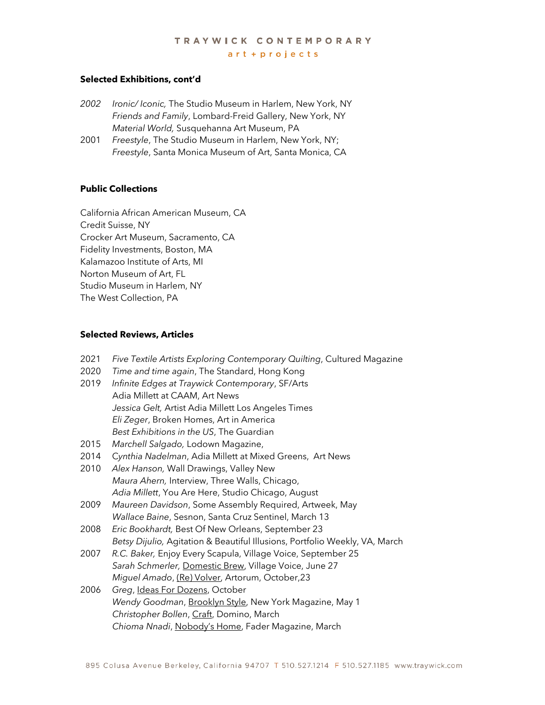## **Selected Exhibitions, cont'd**

- *2002 Ironic/ Iconic,* The Studio Museum in Harlem, New York, NY *Friends and Family*, Lombard-Freid Gallery, New York, NY *Material World,* Susquehanna Art Museum, PA
- 2001 *Freestyle*, The Studio Museum in Harlem, New York, NY; *Freestyle*, Santa Monica Museum of Art, Santa Monica, CA

## **Public Collections**

California African American Museum, CA Credit Suisse, NY Crocker Art Museum, Sacramento, CA Fidelity Investments, Boston, MA Kalamazoo Institute of Arts, MI Norton Museum of Art, FL Studio Museum in Harlem, NY The West Collection, PA

### **Selected Reviews, Articles**

2021 *Five Textile Artists Exploring Contemporary Quilting*, Cultured Magazine 2020 *Time and time again*, The Standard, Hong Kong 2019 *Infinite Edges at Traywick Contemporary*, SF/Arts Adia Millett at CAAM, Art News *Jessica Gelt,* Artist Adia Millett Los Angeles Times *Eli Zeger*, Broken Homes, Art in America *Best Exhibitions in the US*, The Guardian 2015 *Marchell Salgado,* Lodown Magazine, 2014 C*ynthia Nadelman*, Adia Millett at Mixed Greens, Art News 2010 *Alex Hanson,* Wall Drawings, Valley New *Maura Ahern,* Interview, Three Walls, Chicago, *Adia Millett*, You Are Here, Studio Chicago, August 2009 *Maureen Davidson*, Some Assembly Required, Artweek, May *Wallace Baine*, Sesnon, Santa Cruz Sentinel, March 13 2008 *Eric Bookhardt,* Best Of New Orleans, September 23 *Betsy Dijulio,* Agitation & Beautiful Illusions, Portfolio Weekly, VA, March 2007 *R.C. Baker,* Enjoy Every Scapula, Village Voice, September 25 *Sarah Schmerler,* Domestic Brew, Village Voice, June 27 *Miguel Amado*, (Re) Volver, Artorum, October,23 2006 *Greg*, Ideas For Dozens, October *Wendy Goodman*, Brooklyn Style, New York Magazine, May 1 *Christopher Bollen*, Craft, Domino, March *Chioma Nnadi*, Nobody's Home, Fader Magazine, March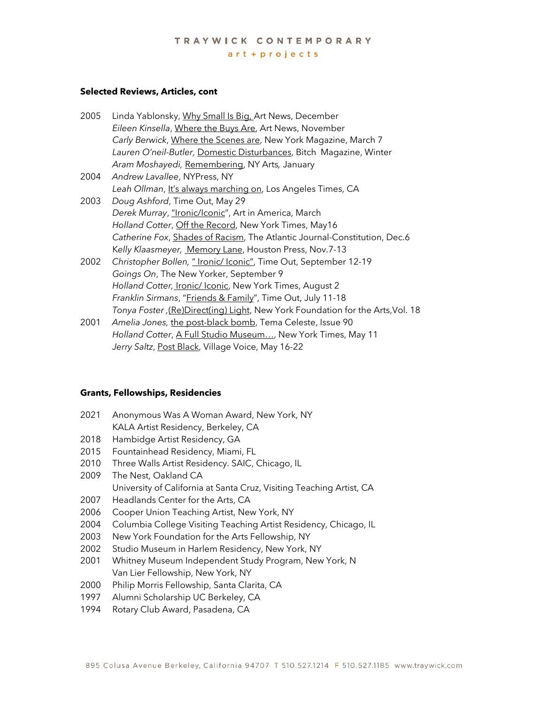## TRAYWICK CONTEMPORARY  $art + projects$

#### **Selected Reviews, Articles, cont**

- 2005 Linda Yablonsky, Why Small Is Big, Art News, December *Eileen Kinsella*, Where the Buys Are, Art News, November *Carly Berwick*, Where the Scenes are, New York Magazine, March 7 *Lauren O'neil-Butler,* Domestic Disturbances, Bitch Magazine, Winter *Aram Moshayedi,* Remembering, NY Arts*,* January
- 2004 *Andrew Lavallee*, NYPress, NY Leah Ollman, It's always marching on, Los Angeles Times, CA
- 2003 *Doug Ashford*, Time Out, May 29 *Derek Murray*, "Ironic/Iconic", Art in America, March *Holland Cotter*, Off the Record, New York Times, May16 *Catherine Fox*, Shades of Racism, The Atlantic Journal-Constitution, Dec.6 K*elly Klaasmeyer,* Memory Lane, Houston Press, Nov.7-13
- 2002 *Christopher Bollen,* " Ironic/ Iconic", Time Out, September 12-19 *Goings On*, The New Yorker, September 9 *Holland Cotter,* Ironic/ Iconic, New York Times, August 2 *Franklin Sirmans*, "Friends & Family", Time Out, July 11-18 *Tonya Foster ,*(Re)Direct(ing) Light, New York Foundation for the Arts,Vol. 18
- 2001 *Amelia Jones,* the post-black bomb, Tema Celeste, Issue 90 *Holland Cotter*, A Full Studio Museum…, New York Times, May 11 Jerry Saltz, Post Black, Village Voice, May 16-22

#### **Grants, Fellowships, Residencies**

| 2021 | Anonymous Was A Woman Award, New York, NY                            |
|------|----------------------------------------------------------------------|
|      | KALA Artist Residency, Berkeley, CA                                  |
| 2018 | Hambidge Artist Residency, GA                                        |
| 2015 | Fountainhead Residency, Miami, FL                                    |
| 2010 | Three Walls Artist Residency. SAIC, Chicago, IL                      |
| 2009 | The Nest, Oakland CA                                                 |
|      | University of California at Santa Cruz, Visiting Teaching Artist, CA |
| 2007 | Headlands Center for the Arts, CA                                    |
| 2006 | Cooper Union Teaching Artist, New York, NY                           |
| 2004 | Columbia College Visiting Teaching Artist Residency, Chicago, IL     |
| 2003 | New York Foundation for the Arts Fellowship, NY                      |
| 2002 | Studio Museum in Harlem Residency, New York, NY                      |
| 2001 | Whitney Museum Independent Study Program, New York, N                |
|      | Van Lier Fellowship, New York, NY                                    |
| 2000 | Philip Morris Fellowship, Santa Clarita, CA                          |
| 1997 | Alumni Scholarship UC Berkeley, CA                                   |
| 1994 | Rotary Club Award, Pasadena, CA                                      |
|      |                                                                      |